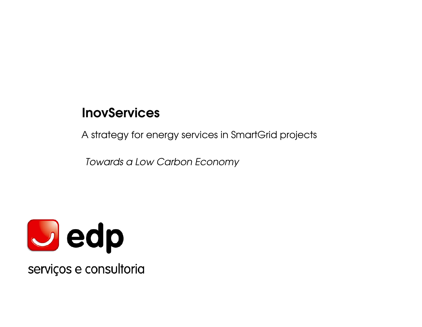## **InovServices**

A strategy for energy services in SmartGrid projects

Towards a Low Carbon Economy



serviços e consultoria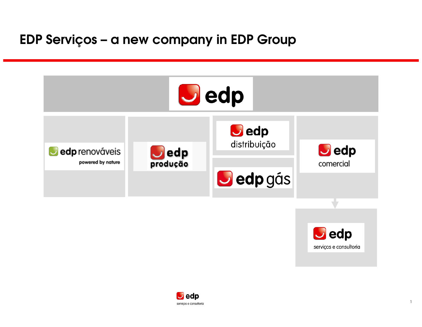## EDP Serviços – a new company in EDP Group



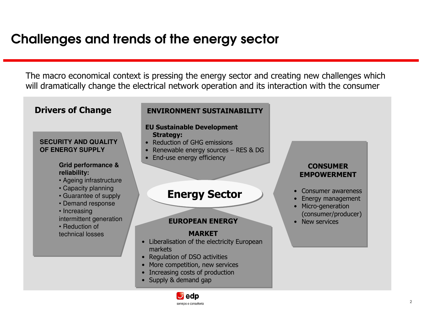# Challenges and trends of the energy sector

The macro economical context is pressing the energy sector and creating new challenges which will dramatically change the electrical network operation and its interaction with the consumer

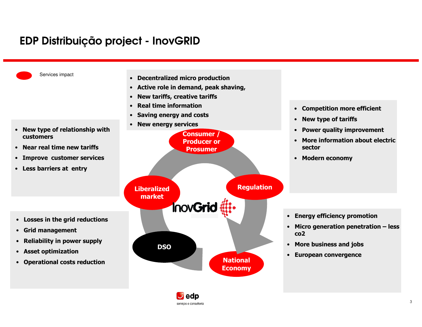## EDP Distribuição project - InovGRID



serviços e consultoria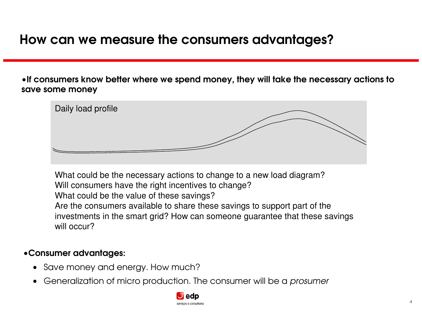# How can we measure the consumers advantages?

•If consumers know better where we spend money, they will take the necessary actions to save some money



What could be the necessary actions to change to a new load diagram?Will consumers have the right incentives to change?What could be the value of these savings? Are the consumers available to share these savings to support part of the investments in the smart grid? How can someone guarantee that these savings will occur?

### •Consumer advantages:

- Save money and energy. How much?
- •Generalization of micro production. The consumer will be a prosumer

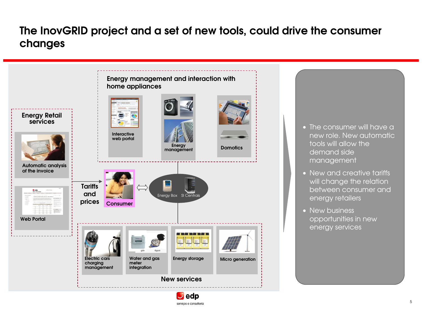### The InovGRID project and a set of new tools, could drive the consumer changes

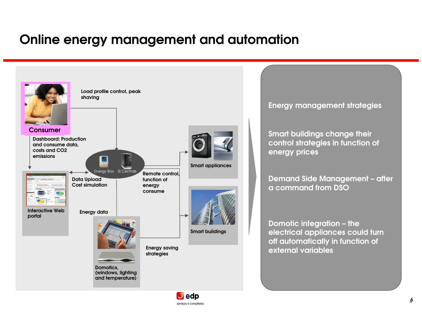## Online energy management and automation



#### Energy management strategies

Smart buildings change their control strategies in function of energy prices

Demand Side Management – after a command from DSO

Domotic integration – the electrical appliances could turn off automatically in function of external variables

8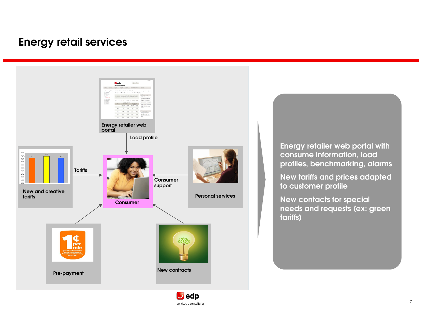### Energy retail services



Energy retailer web portal with consume information, load profiles, benchmarking, alarms

New tariffs and prices adapted to customer profile

New contacts for special needs and requests (ex: green tariffs)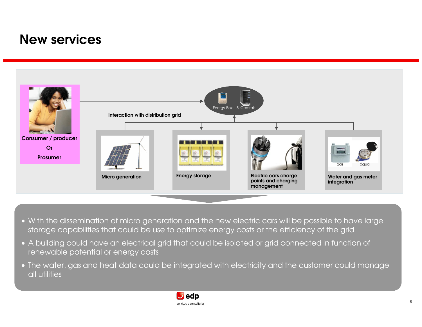## New services



- With the dissemination of micro generation and the new electric cars will be possible to have large storage capabilities that could be use to optimize energy costs or the efficiency of the grid
- A building could have an electrical grid that could be isolated or grid connected in function of renewable potential or energy costs
- $\bullet\,$  The water, gas and heat data could be integrated with electricity and the customer could manage  $\,$ all utilities

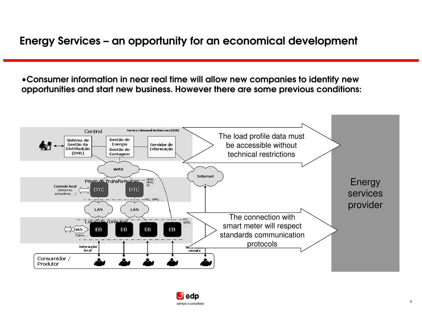### Energy Services – an opportunity for an economical development

•Consumer information in near real time will allow new companies to identify new opportunities and start new business. However there are some previous conditions:

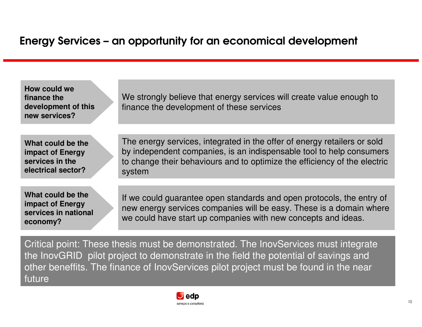## Energy Services – an opportunity for an economical development

| How could we<br>finance the<br>development of this<br>new services?                   | We strongly believe that energy services will create value enough to<br>finance the development of these services                                                                                                                       |
|---------------------------------------------------------------------------------------|-----------------------------------------------------------------------------------------------------------------------------------------------------------------------------------------------------------------------------------------|
|                                                                                       |                                                                                                                                                                                                                                         |
| What could be the<br><b>impact of Energy</b><br>services in the<br>electrical sector? | The energy services, integrated in the offer of energy retailers or sold<br>by independent companies, is an indispensable tool to help consumers<br>to change their behaviours and to optimize the efficiency of the electric<br>system |
|                                                                                       |                                                                                                                                                                                                                                         |
| What could be the<br><b>impact of Energy</b><br>services in national<br>economy?      | If we could guarantee open standards and open protocols, the entry of<br>new energy services companies will be easy. These is a domain where<br>we could have start up companies with new concepts and ideas.                           |

Critical point: These thesis must be demonstrated. The InovServices must integrate the InovGRID pilot project to demonstrate in the field the potential of savings and other beneffits. The finance of InovServices pilot project must be found in the near future

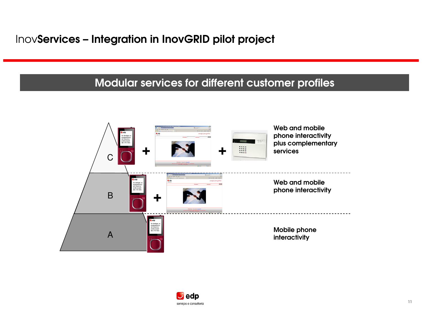## InovServices – Integration in InovGRID pilot project

### Modular services for different customer profiles